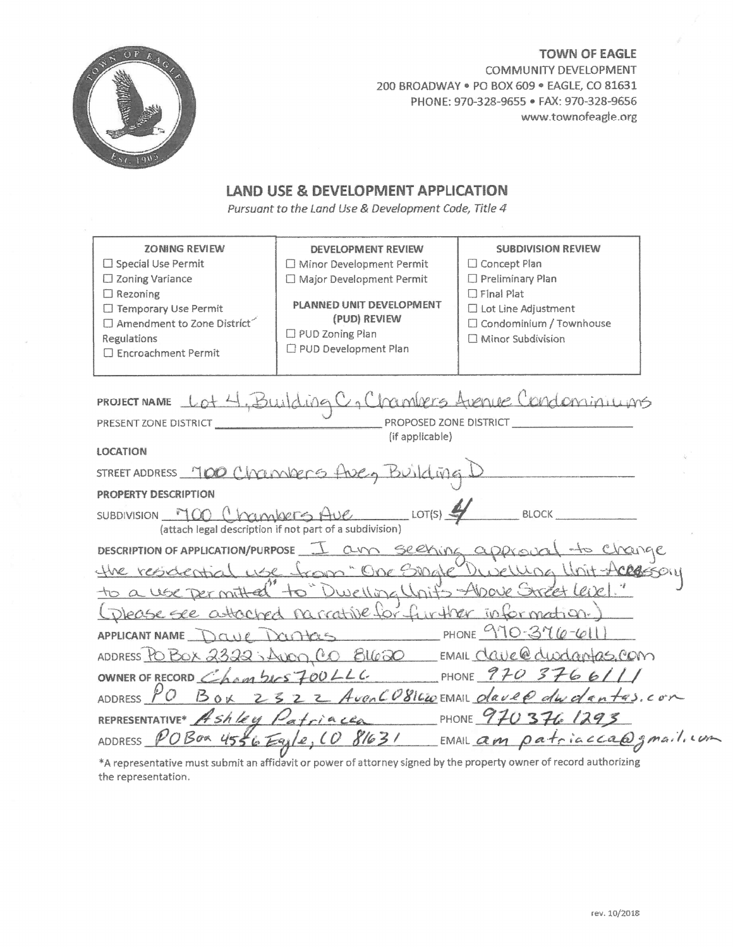

**TOWN OF EAGLE** COMMUNITY DEVELOPMENT 200 BROADWAY . PO BOX 609 . EAGLE, CO 81631 PHONE: 970-328-9655 · FAX: 970-328-9656 www.townofeagle.org

# LAND USE & DEVELOPMENT APPLICATION

Pursuant to the Land Use & Development Code, Title 4

| <b>ZONING REVIEW</b><br>□ Special Use Permit<br>□ Zoning Variance<br>$\Box$ Rezoning<br>□ Temporary Use Permit<br>$\Box$ Amendment to Zone District<br><b>Regulations</b><br>□ Encroachment Permit | DEVELOPMENT REVIEW<br>□ Minor Development Permit<br>□ Major Development Permit<br>PLANNED UNIT DEVELOPMENT<br>(PUD) REVIEW<br>$\Box$ PUD Zoning Plan<br>PUD Development Plan | <b>SUBDIVISION REVIEW</b><br>$\Box$ Concept Plan<br>□ Preliminary Plan<br>$\Box$ Final Plat<br>□ Lot Line Adjustment<br>$\Box$ Condominium / Townhouse<br>□ Minor Subdivision |
|----------------------------------------------------------------------------------------------------------------------------------------------------------------------------------------------------|------------------------------------------------------------------------------------------------------------------------------------------------------------------------------|-------------------------------------------------------------------------------------------------------------------------------------------------------------------------------|
| PROJECT NAME                                                                                                                                                                                       |                                                                                                                                                                              | Building C, Chambers Avenue Condominiums                                                                                                                                      |
| PRESENT ZONE DISTRICT                                                                                                                                                                              | PROPOSED ZONE DISTRICT                                                                                                                                                       |                                                                                                                                                                               |
|                                                                                                                                                                                                    | (if applicable)                                                                                                                                                              |                                                                                                                                                                               |
| <b>LOCATION</b>                                                                                                                                                                                    |                                                                                                                                                                              |                                                                                                                                                                               |
|                                                                                                                                                                                                    | STREET ADDRESS 700 Chronologis three, Building                                                                                                                               |                                                                                                                                                                               |
| PROPERTY DESCRIPTION                                                                                                                                                                               |                                                                                                                                                                              |                                                                                                                                                                               |
| SUBDIVISION MOD (mankers Ave                                                                                                                                                                       | LOT(S)<br>(attach legal description if not part of a subdivision)                                                                                                            | <b>BLOCK</b>                                                                                                                                                                  |
|                                                                                                                                                                                                    | DESCRIPTION OF APPLICATION/PURPOSE 1 am Seehing approval                                                                                                                     | <u>As Change</u>                                                                                                                                                              |
|                                                                                                                                                                                                    |                                                                                                                                                                              | the residential use from "One Single" luxura Unit-Acessory                                                                                                                    |
| to a use permitted to                                                                                                                                                                              |                                                                                                                                                                              | Dwelling Units - Above Street Leik !"                                                                                                                                         |
|                                                                                                                                                                                                    | Oplease see attached narrative for further information.                                                                                                                      |                                                                                                                                                                               |
| APPLICANT NAME Dave Dristas                                                                                                                                                                        |                                                                                                                                                                              | PHONE $970 - 376 - 611$                                                                                                                                                       |
| ADDRESS PO BOX 2323-Aven CO BLGGO                                                                                                                                                                  |                                                                                                                                                                              | EMAIL Clause dudamas. COM                                                                                                                                                     |
| OWNER OF RECORD Chambers 700 LLC                                                                                                                                                                   |                                                                                                                                                                              | PHONE $970$ 3766///                                                                                                                                                           |
| ADDRESS $PO$                                                                                                                                                                                       |                                                                                                                                                                              | Box 2322 Aven CO81620 EMAIL davep dwdentas.com                                                                                                                                |
| REPRESENTATIVE* A Shley Patriacea                                                                                                                                                                  |                                                                                                                                                                              | PHONE 970376 1293                                                                                                                                                             |
| ADDRESS POBOR 4556 Egyle, CO                                                                                                                                                                       |                                                                                                                                                                              | 81631 EMAIL am patriaccade gmail.com                                                                                                                                          |
| 2001 میں استعمال علاقہ میں انکار دیا جاتا ہے کہ استعمال کرنے کیف ساتھ سے اس کے لئے ان                                                                                                              |                                                                                                                                                                              | mului maa mituu muud dhaa dhina waxay mulubaa inaacen nis mitu mnnnand na shikameetaalee ne                                                                                   |

\*A representative must submit an affidavit or power of attorney signed by the property owner of record authorizing the representation.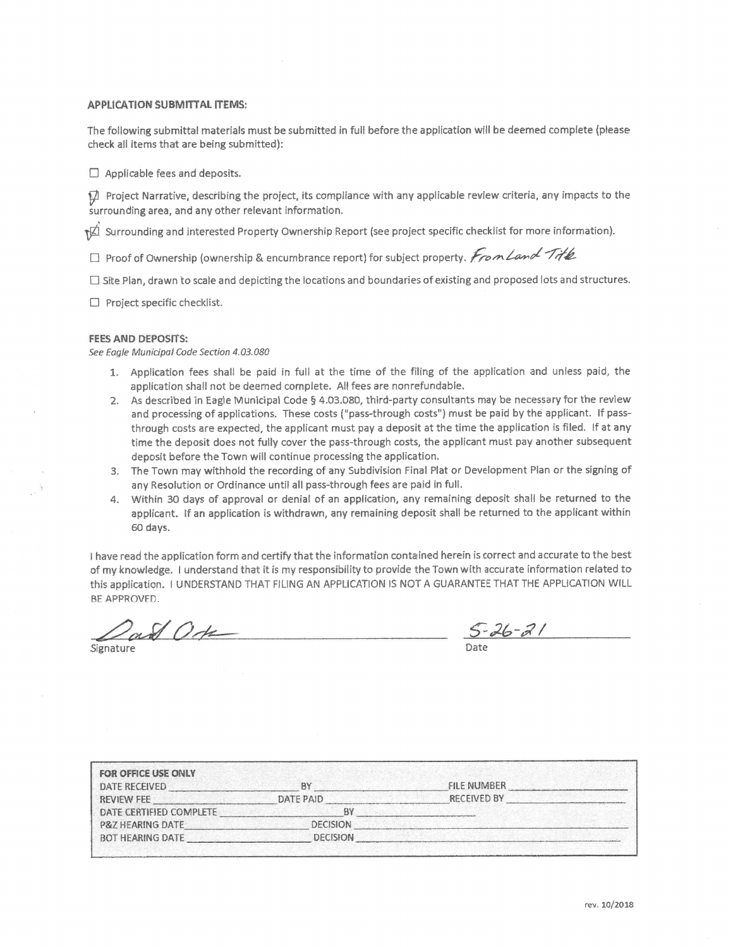#### **APPLICATION SUBMITTAL ITEMS:**

The following submittal materials must be submitted in full before the application will be deemed complete (please check all items that are being submitted):

 $\Box$  Applicable fees and deposits.

 $\Box$  Project Narrative, describing the project, its compliance with any applicable review criteria, any impacts to the surrounding area, and any other relevant information.

surrounding and interested Property Ownership Report (see project specific checklist for more information).

□ Proof of Ownership (ownership & encumbrance report) for subject property. From Land Title

□ Site Plan, drawn to scale and depicting the locations and boundaries of existing and proposed lots and structures.

 $\Box$  Project specific checklist.

#### **FEES AND DEPOSITS:**

See Eagle Municipal Code Section 4.03.080

- 1. Application fees shall be paid in full at the time of the filing of the application and unless paid, the application shall not be deemed complete. All fees are nonrefundable.
- 2. As described in Eagle Municipal Code § 4.03.080, third-party consultants may be necessary for the review and processing of applications. These costs ("pass-through costs") must be paid by the applicant. If passthrough costs are expected, the applicant must pay a deposit at the time the application is filed. If at any time the deposit does not fully cover the pass-through costs, the applicant must pay another subsequent deposit before the Town will continue processing the application.
- 3. The Town may withhold the recording of any Subdivision Final Plat or Development Plan or the signing of any Resolution or Ordinance until all pass-through fees are paid in full.
- 4. Within 30 days of approval or denial of an application, any remaining deposit shall be returned to the applicant. If an application is withdrawn, any remaining deposit shall be returned to the applicant within 60 days.

I have read the application form and certify that the information contained herein is correct and accurate to the best of my knowledge. I understand that it is my responsibility to provide the Town with accurate information related to this application. I UNDERSTAND THAT FILING AN APPLICATION IS NOT A GUARANTEE THAT THE APPLICATION WILL BE APPROVED.

Signature

 $\frac{1}{\sqrt{2}}\frac{1}{\sqrt{2}}\frac{1}{\sqrt{2}}$ 

| <b>FOR OFFICE USE ONLY</b><br>DATE RECEIVED | <b>AY</b>       | <b>FILE NUMBER</b> |  |
|---------------------------------------------|-----------------|--------------------|--|
| <b>REVIEW FEE</b>                           | DATE PAID       | RECEIVED BY        |  |
| DATE CERTIFIED COMPLETE                     | BY              |                    |  |
| P&7 HEARING DATE                            | <b>DECISION</b> |                    |  |
| <b>BOT HEARING DATE</b>                     | <b>DECISION</b> |                    |  |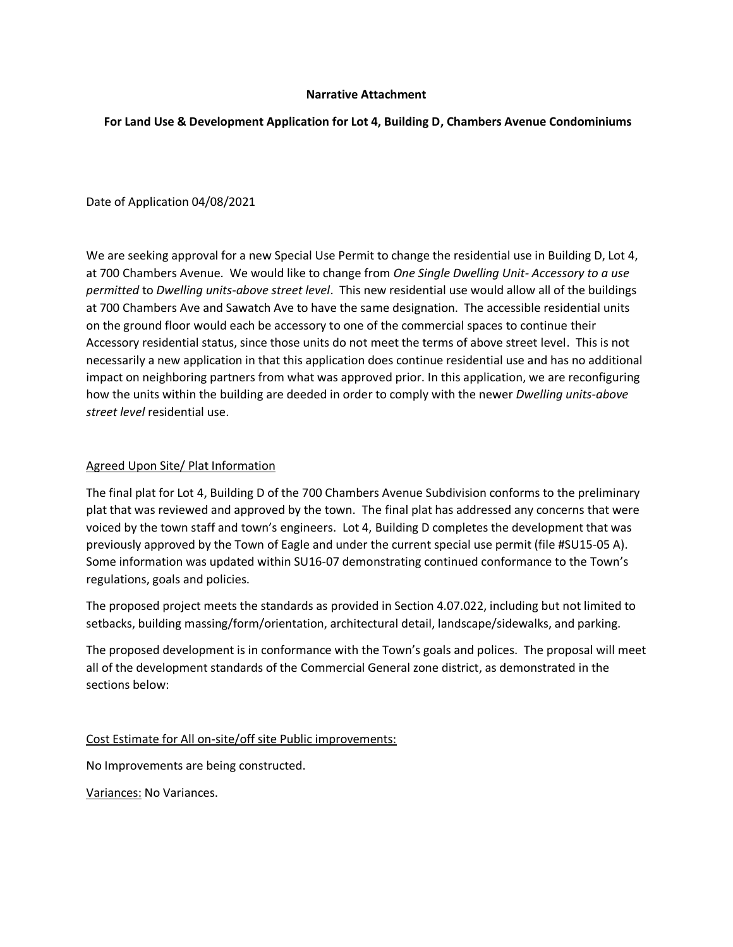### **Narrative Attachment**

### **For Land Use & Development Application for Lot 4, Building D, Chambers Avenue Condominiums**

Date of Application 04/08/2021

We are seeking approval for a new Special Use Permit to change the residential use in Building D, Lot 4, at 700 Chambers Avenue. We would like to change from *One Single Dwelling Unit- Accessory to a use permitted* to *Dwelling units-above street level*. This new residential use would allow all of the buildings at 700 Chambers Ave and Sawatch Ave to have the same designation. The accessible residential units on the ground floor would each be accessory to one of the commercial spaces to continue their Accessory residential status, since those units do not meet the terms of above street level. This is not necessarily a new application in that this application does continue residential use and has no additional impact on neighboring partners from what was approved prior. In this application, we are reconfiguring how the units within the building are deeded in order to comply with the newer *Dwelling units-above street level* residential use.

### Agreed Upon Site/ Plat Information

The final plat for Lot 4, Building D of the 700 Chambers Avenue Subdivision conforms to the preliminary plat that was reviewed and approved by the town. The final plat has addressed any concerns that were voiced by the town staff and town's engineers. Lot 4, Building D completes the development that was previously approved by the Town of Eagle and under the current special use permit (file #SU15-05 A). Some information was updated within SU16-07 demonstrating continued conformance to the Town's regulations, goals and policies.

The proposed project meets the standards as provided in Section 4.07.022, including but not limited to setbacks, building massing/form/orientation, architectural detail, landscape/sidewalks, and parking.

The proposed development is in conformance with the Town's goals and polices. The proposal will meet all of the development standards of the Commercial General zone district, as demonstrated in the sections below:

Cost Estimate for All on-site/off site Public improvements:

No Improvements are being constructed.

Variances: No Variances.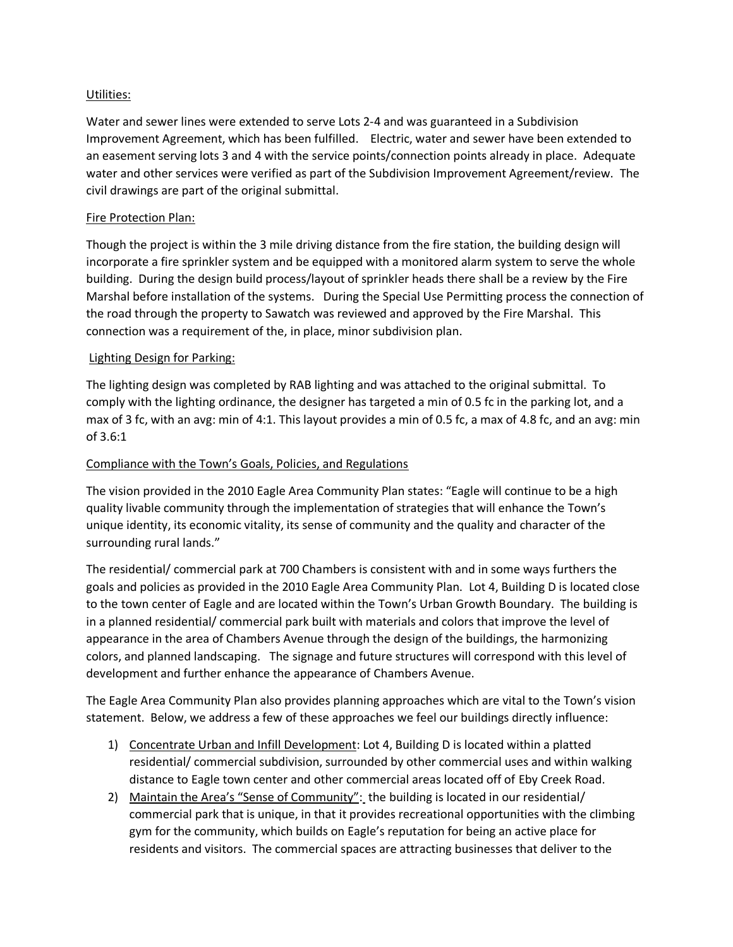### Utilities:

Water and sewer lines were extended to serve Lots 2-4 and was guaranteed in a Subdivision Improvement Agreement, which has been fulfilled. Electric, water and sewer have been extended to an easement serving lots 3 and 4 with the service points/connection points already in place. Adequate water and other services were verified as part of the Subdivision Improvement Agreement/review. The civil drawings are part of the original submittal.

# Fire Protection Plan:

Though the project is within the 3 mile driving distance from the fire station, the building design will incorporate a fire sprinkler system and be equipped with a monitored alarm system to serve the whole building. During the design build process/layout of sprinkler heads there shall be a review by the Fire Marshal before installation of the systems. During the Special Use Permitting process the connection of the road through the property to Sawatch was reviewed and approved by the Fire Marshal. This connection was a requirement of the, in place, minor subdivision plan.

## Lighting Design for Parking:

The lighting design was completed by RAB lighting and was attached to the original submittal. To comply with the lighting ordinance, the designer has targeted a min of 0.5 fc in the parking lot, and a max of 3 fc, with an avg: min of 4:1. This layout provides a min of 0.5 fc, a max of 4.8 fc, and an avg: min of 3.6:1

## Compliance with the Town's Goals, Policies, and Regulations

The vision provided in the 2010 Eagle Area Community Plan states: "Eagle will continue to be a high quality livable community through the implementation of strategies that will enhance the Town's unique identity, its economic vitality, its sense of community and the quality and character of the surrounding rural lands."

The residential/ commercial park at 700 Chambers is consistent with and in some ways furthers the goals and policies as provided in the 2010 Eagle Area Community Plan. Lot 4, Building D is located close to the town center of Eagle and are located within the Town's Urban Growth Boundary. The building is in a planned residential/ commercial park built with materials and colors that improve the level of appearance in the area of Chambers Avenue through the design of the buildings, the harmonizing colors, and planned landscaping. The signage and future structures will correspond with this level of development and further enhance the appearance of Chambers Avenue.

The Eagle Area Community Plan also provides planning approaches which are vital to the Town's vision statement. Below, we address a few of these approaches we feel our buildings directly influence:

- 1) Concentrate Urban and Infill Development: Lot 4, Building D is located within a platted residential/ commercial subdivision, surrounded by other commercial uses and within walking distance to Eagle town center and other commercial areas located off of Eby Creek Road.
- 2) Maintain the Area's "Sense of Community": the building is located in our residential/ commercial park that is unique, in that it provides recreational opportunities with the climbing gym for the community, which builds on Eagle's reputation for being an active place for residents and visitors. The commercial spaces are attracting businesses that deliver to the